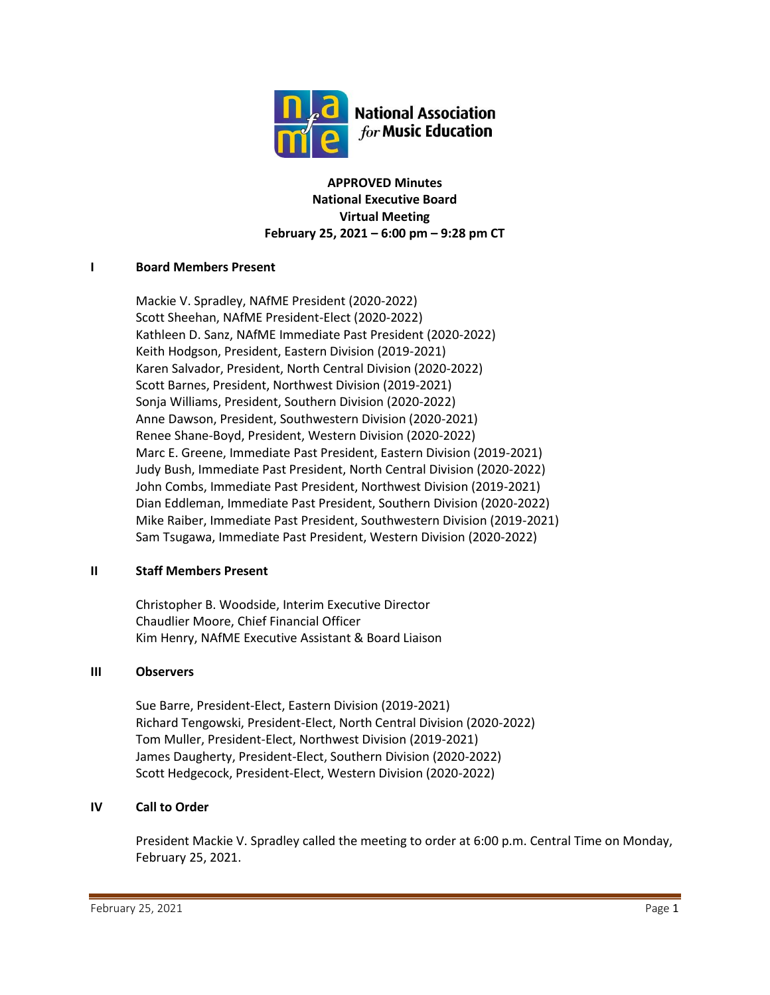

**APPROVED Minutes National Executive Board Virtual Meeting February 25, 2021 – 6:00 pm – 9:28 pm CT**

## **I Board Members Present**

Mackie V. Spradley, NAfME President (2020-2022) Scott Sheehan, NAfME President-Elect (2020-2022) Kathleen D. Sanz, NAfME Immediate Past President (2020-2022) Keith Hodgson, President, Eastern Division (2019-2021) Karen Salvador, President, North Central Division (2020-2022) Scott Barnes, President, Northwest Division (2019-2021) Sonja Williams, President, Southern Division (2020-2022) Anne Dawson, President, Southwestern Division (2020-2021) Renee Shane-Boyd, President, Western Division (2020-2022) Marc E. Greene, Immediate Past President, Eastern Division (2019-2021) Judy Bush, Immediate Past President, North Central Division (2020-2022) John Combs, Immediate Past President, Northwest Division (2019-2021) Dian Eddleman, Immediate Past President, Southern Division (2020-2022) Mike Raiber, Immediate Past President, Southwestern Division (2019-2021) Sam Tsugawa, Immediate Past President, Western Division (2020-2022)

## **II Staff Members Present**

Christopher B. Woodside, Interim Executive Director Chaudlier Moore, Chief Financial Officer Kim Henry, NAfME Executive Assistant & Board Liaison

## **III Observers**

Sue Barre, President-Elect, Eastern Division (2019-2021) Richard Tengowski, President-Elect, North Central Division (2020-2022) Tom Muller, President-Elect, Northwest Division (2019-2021) James Daugherty, President-Elect, Southern Division (2020-2022) Scott Hedgecock, President-Elect, Western Division (2020-2022)

## **IV Call to Order**

President Mackie V. Spradley called the meeting to order at 6:00 p.m. Central Time on Monday, February 25, 2021.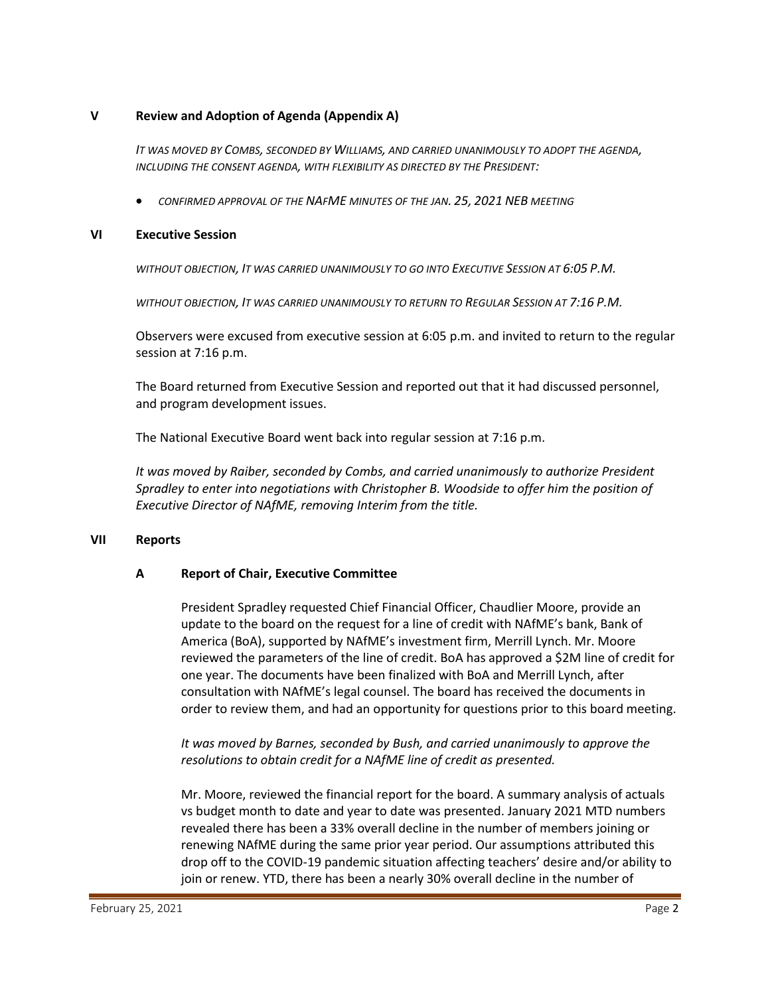## **V Review and Adoption of Agenda (Appendix A)**

*IT WAS MOVED BY COMBS, SECONDED BY WILLIAMS, AND CARRIED UNANIMOUSLY TO ADOPT THE AGENDA, INCLUDING THE CONSENT AGENDA, WITH FLEXIBILITY AS DIRECTED BY THE PRESIDENT:*

• *CONFIRMED APPROVAL OF THE NAFME MINUTES OF THE JAN. 25, 2021 NEB MEETING*

#### **VI Executive Session**

*WITHOUT OBJECTION, IT WAS CARRIED UNANIMOUSLY TO GO INTO EXECUTIVE SESSION AT 6:05 P.M.*

*WITHOUT OBJECTION, IT WAS CARRIED UNANIMOUSLY TO RETURN TO REGULAR SESSION AT 7:16 P.M.*

Observers were excused from executive session at 6:05 p.m. and invited to return to the regular session at 7:16 p.m.

The Board returned from Executive Session and reported out that it had discussed personnel, and program development issues.

The National Executive Board went back into regular session at 7:16 p.m.

*It was moved by Raiber, seconded by Combs, and carried unanimously to authorize President Spradley to enter into negotiations with Christopher B. Woodside to offer him the position of Executive Director of NAfME, removing Interim from the title.* 

#### **VII Reports**

## **A Report of Chair, Executive Committee**

President Spradley requested Chief Financial Officer, Chaudlier Moore, provide an update to the board on the request for a line of credit with NAfME's bank, Bank of America (BoA), supported by NAfME's investment firm, Merrill Lynch. Mr. Moore reviewed the parameters of the line of credit. BoA has approved a \$2M line of credit for one year. The documents have been finalized with BoA and Merrill Lynch, after consultation with NAfME's legal counsel. The board has received the documents in order to review them, and had an opportunity for questions prior to this board meeting.

*It was moved by Barnes, seconded by Bush, and carried unanimously to approve the resolutions to obtain credit for a NAfME line of credit as presented.* 

Mr. Moore, reviewed the financial report for the board. A summary analysis of actuals vs budget month to date and year to date was presented. January 2021 MTD numbers revealed there has been a 33% overall decline in the number of members joining or renewing NAfME during the same prior year period. Our assumptions attributed this drop off to the COVID-19 pandemic situation affecting teachers' desire and/or ability to join or renew. YTD, there has been a nearly 30% overall decline in the number of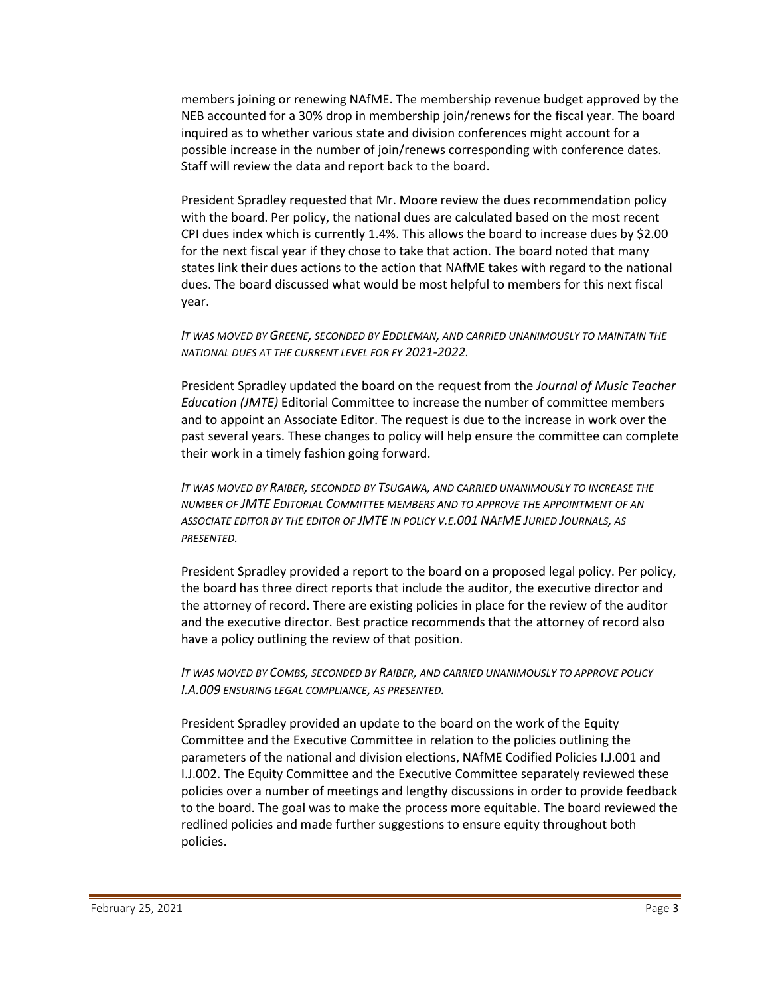members joining or renewing NAfME. The membership revenue budget approved by the NEB accounted for a 30% drop in membership join/renews for the fiscal year. The board inquired as to whether various state and division conferences might account for a possible increase in the number of join/renews corresponding with conference dates. Staff will review the data and report back to the board.

President Spradley requested that Mr. Moore review the dues recommendation policy with the board. Per policy, the national dues are calculated based on the most recent CPI dues index which is currently 1.4%. This allows the board to increase dues by \$2.00 for the next fiscal year if they chose to take that action. The board noted that many states link their dues actions to the action that NAfME takes with regard to the national dues. The board discussed what would be most helpful to members for this next fiscal year.

#### *IT WAS MOVED BY GREENE, SECONDED BY EDDLEMAN, AND CARRIED UNANIMOUSLY TO MAINTAIN THE NATIONAL DUES AT THE CURRENT LEVEL FOR FY 2021-2022.*

President Spradley updated the board on the request from the *Journal of Music Teacher Education (JMTE)* Editorial Committee to increase the number of committee members and to appoint an Associate Editor. The request is due to the increase in work over the past several years. These changes to policy will help ensure the committee can complete their work in a timely fashion going forward.

*IT WAS MOVED BY RAIBER, SECONDED BY TSUGAWA, AND CARRIED UNANIMOUSLY TO INCREASE THE NUMBER OF JMTE EDITORIAL COMMITTEE MEMBERS AND TO APPROVE THE APPOINTMENT OF AN ASSOCIATE EDITOR BY THE EDITOR OF JMTE IN POLICY V.E.001 NAFME JURIED JOURNALS, AS PRESENTED.*

President Spradley provided a report to the board on a proposed legal policy. Per policy, the board has three direct reports that include the auditor, the executive director and the attorney of record. There are existing policies in place for the review of the auditor and the executive director. Best practice recommends that the attorney of record also have a policy outlining the review of that position.

*IT WAS MOVED BY COMBS, SECONDED BY RAIBER, AND CARRIED UNANIMOUSLY TO APPROVE POLICY I.A.009 ENSURING LEGAL COMPLIANCE, AS PRESENTED.*

President Spradley provided an update to the board on the work of the Equity Committee and the Executive Committee in relation to the policies outlining the parameters of the national and division elections, NAfME Codified Policies I.J.001 and I.J.002. The Equity Committee and the Executive Committee separately reviewed these policies over a number of meetings and lengthy discussions in order to provide feedback to the board. The goal was to make the process more equitable. The board reviewed the redlined policies and made further suggestions to ensure equity throughout both policies.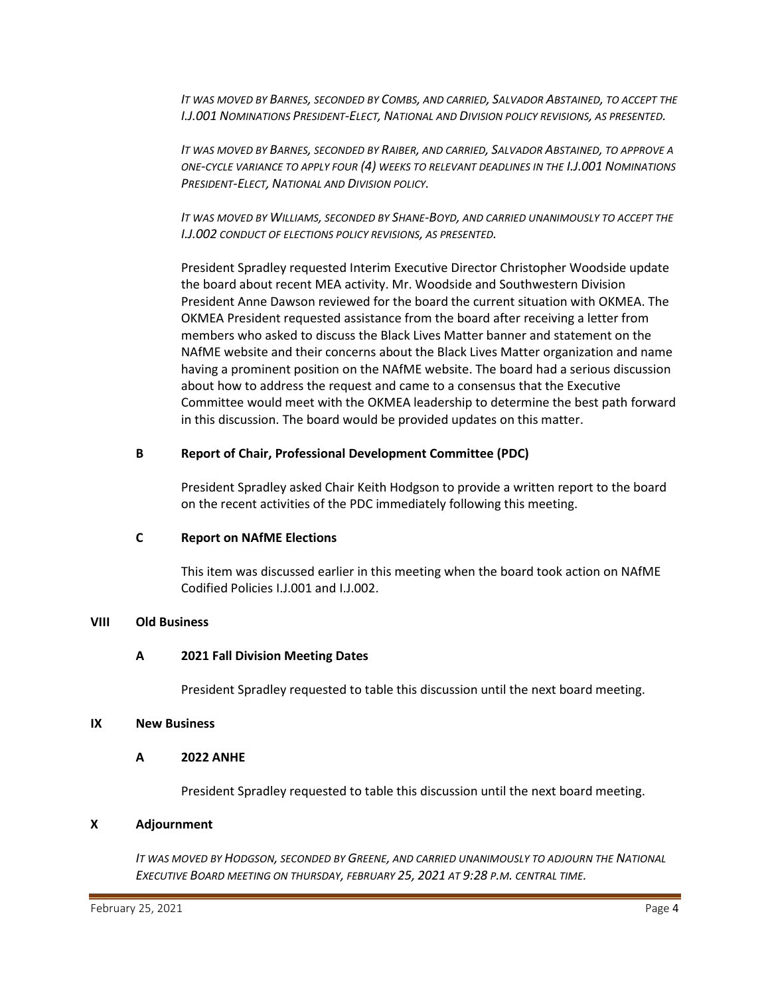*IT WAS MOVED BY BARNES, SECONDED BY COMBS, AND CARRIED, SALVADOR ABSTAINED, TO ACCEPT THE I.J.001 NOMINATIONS PRESIDENT-ELECT, NATIONAL AND DIVISION POLICY REVISIONS, AS PRESENTED.*

*IT WAS MOVED BY BARNES, SECONDED BY RAIBER, AND CARRIED, SALVADOR ABSTAINED, TO APPROVE A ONE-CYCLE VARIANCE TO APPLY FOUR (4) WEEKS TO RELEVANT DEADLINES IN THE I.J.001 NOMINATIONS PRESIDENT-ELECT, NATIONAL AND DIVISION POLICY.*

*IT WAS MOVED BY WILLIAMS, SECONDED BY SHANE-BOYD, AND CARRIED UNANIMOUSLY TO ACCEPT THE I.J.002 CONDUCT OF ELECTIONS POLICY REVISIONS, AS PRESENTED.*

President Spradley requested Interim Executive Director Christopher Woodside update the board about recent MEA activity. Mr. Woodside and Southwestern Division President Anne Dawson reviewed for the board the current situation with OKMEA. The OKMEA President requested assistance from the board after receiving a letter from members who asked to discuss the Black Lives Matter banner and statement on the NAfME website and their concerns about the Black Lives Matter organization and name having a prominent position on the NAfME website. The board had a serious discussion about how to address the request and came to a consensus that the Executive Committee would meet with the OKMEA leadership to determine the best path forward in this discussion. The board would be provided updates on this matter.

## **B Report of Chair, Professional Development Committee (PDC)**

President Spradley asked Chair Keith Hodgson to provide a written report to the board on the recent activities of the PDC immediately following this meeting.

#### **C Report on NAfME Elections**

This item was discussed earlier in this meeting when the board took action on NAfME Codified Policies I.J.001 and I.J.002.

## **VIII Old Business**

## **A 2021 Fall Division Meeting Dates**

President Spradley requested to table this discussion until the next board meeting.

#### **IX New Business**

#### **A 2022 ANHE**

President Spradley requested to table this discussion until the next board meeting.

#### **X Adjournment**

*IT WAS MOVED BY HODGSON, SECONDED BY GREENE, AND CARRIED UNANIMOUSLY TO ADJOURN THE NATIONAL EXECUTIVE BOARD MEETING ON THURSDAY, FEBRUARY 25, 2021 AT 9:28 P.M. CENTRAL TIME.*